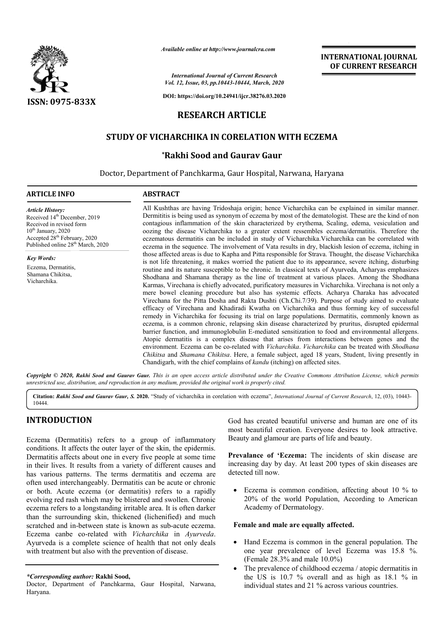

*Available online at http://www.journalcra.com*

*International Journal of Current Research Vol. 12, Issue, 03, pp.10443-10444, March, 2020*

**DOI: https://doi.org/10.24941/ijcr.38276.03.2020**

# **RESEARCH ARTICLE**

# **STUDY OF VICHARCHIKA IN CORELATION WITH ECZEMA CORELATION WITH**

## **\*Rakhi Sood and Gaurav Gaur**

Doctor, Department of Panchkarma, Gaur Hospital, Narwana, Haryana

### **ARTICLE INFO ABSTRACT**

*Article History:* Received 14<sup>th</sup> December, 2019 Received in revised form 10<sup>th</sup> January, 2020 Accepted 28<sup>th</sup> February, 2020 Published online 28<sup>th</sup> March, 2020

*Key Words:*

Eczema, Dermatitis, Shamana Chikitsa, Vicharchika.

All Kushthas are having Tridoshaja origin; hence Vicharchika can be explained in similar manner. Dermititis is being used as synonym of eczema by most of the dematologist. These are the kind of non contagious inflammation of the skin characterized by erythema, Scaling, edema, vesiculation and oozing the disease Vicharchika to a greater extent ressembles eczema/dermatitis. Therefore the eczematous dermatitis can be included in study of Vicharchika. Vicharchika can be correlated with eczema in the sequence. The involvement of Vata results in dry, blackish lesion of eczema, itching in those affected areas is due to Kapha and Pitta responsible for Strava. Thought, the disease Vicharchika is not life threatening, it makes worried the patient due to its appearance, severe itching, disturbing routine and its nature susceptible to be chronic. In classical texts of Ayurveda, Acharyas emphasizes Shodhana and Sha Shamana therapy as the line of treatment at various places. Among the Shodhana Karmas, Virechana is chiefly advocated, purificatory measures in Vicharchika. Virechana is not only a mere bowel cleaning procedure but also has systemic effects. Acharya Charaka h Virechana for the Pitta Dosha and Rakta Dushti (Ch.Chi.7/39). Purpose of study aimed to evaluate Virechana for the Pitta Dosha and Rakta Dushti (Ch.Chi.7/39). Purpose of study aimed to evaluate efficacy of Virechana and Khadiradi Kwatha on Vicharchika and thus forming key of successful remedy in Vicharchika for focusing its trial on large populations. Dermatitis, commonly known as eczema, is a common chronic, relapsing skin disease characterized by pruritus, disrupted epidermal barrier function, and immunoglobulin E E-mediated sensitization to food and environmental allergens. Atopic dermati dermatitis is a complex disease that arises from interactions between genes and the eczema, is a common chronic, relapsing skin disease characterized by pruritus, disrupted epidermal barrier function, and immunoglobulin E-mediated sensitization to food and environmental allergens.<br>Atopic dermatitis is a c *Chikitsa* and *Shamana Chikitsa*. Here, a female subject, aged 18 years, Student, living presently in Chandigarh, with the chief complains of kandu (itching) on affected sites. All Kushthas are having Tridoshaja origin; hence Vicharchika can be explained in similar manner.<br>Dermititis is being used as synonym of eczema by most of the dematologist. These are the kind of non<br>contagious inflammation is not life threatening, it makes worried the patient due to its appearance, severe itching, disturbing routine and its nature susceptible to be chronic. In classical texts of Ayurveda, Acharyas emphasizes Shodhana and Sha

Copyright © 2020, Rakhi Sood and Gaurav Gaur. This is an open access article distributed under the Creative Commons Attribution License, which permits *unrestricted use, distribution, and reproduction in any medium, provided the original work is properly cited.*

Citation: Rakhi Sood and Gaurav Gaur, S. 2020. "Study of vicharchika in corelation with eczema", International Journal of Current Research, 12, (03), 10443-10444.

# **INTRODUCTION**

Eczema (Dermatitis) refers to a group of inflammatory conditions. It affects the outer layer of the skin, the epidermis. Dermatitis affects about one in every five people at some time in their lives. It results from a variety of different causes and has various patterns. The terms dermatitis and eczema are often used interchangeably. Dermatitis can be acute or chronic or both. Acute eczema (or dermatitis) refers to a rapidly evolving red rash which may be blistered and swollen. Chronic eczema refers to a longstanding irritable area. It is often darker than the surrounding skin, thickened (lichenified) and much scratched and in-between state is known as sub-acute eczema. Eczema canbe co-related with *Vicharchika*  in *Ayurveda*. Ayurveda is a complete science of health that not only deals with treatment but also with the prevention of disease. rious patterns. The terms dermatitis and eczema are<br>sed interchangeably. Dermatitis can be acute or chronic<br>h. Acute eczema (or dermatitis) refers to a rapidly<br>g red rash which may be blistered and swollen. Chronic<br>a refer God has created beautiful universe and human are one of its<br>
most beautiful creation. Everyone desires to look attractive.<br>
f the skin, the epidermis.<br>
f the skin, the epidermis.<br>
f the skin, the epidermis.<br>
prevalance of

#### *\*Corresponding author:* **Rakhi Sood,**

Doctor, Department of Panchkarma, Gaur Hospital, Narwana, Haryana.

most beautiful creation. Everyone desires to look attractive. Beauty and glamour are parts of life and beauty. God has created beautiful universe and human are one of its<br>most beautiful creation. Everyone desires to look attractive.<br>Beauty and glamour are parts of life and beauty.<br>**Prevalance of 'Eczema:** The incidents of skin dise

 **INTERNATIONAL JOURNAL OF CURRENT RESEARCH**

Prevalance of 'Eczema: The incidents of skin disease are increasing day by day. At least 200 types of skin diseases are detected till now.

• Eczema is common condition, affecting about 10 % to 20% of the world Population, According to American Academy of Dermatology.

#### **Female and male are equally affected. male**

- Hand Eczema is common in the general population. The Hand Eczema is common in the general population. The one year prevalence of level Eczema was 15.8 %. (Female 28.3% and male 10.0%)
- The prevalence of childhood eczema / atopic dermatitis in The prevalence of childhood eczema / atopic dermatitis in the US is 10.7 % overall and as high as 18.1 % in individual states and 21 % across various countries.